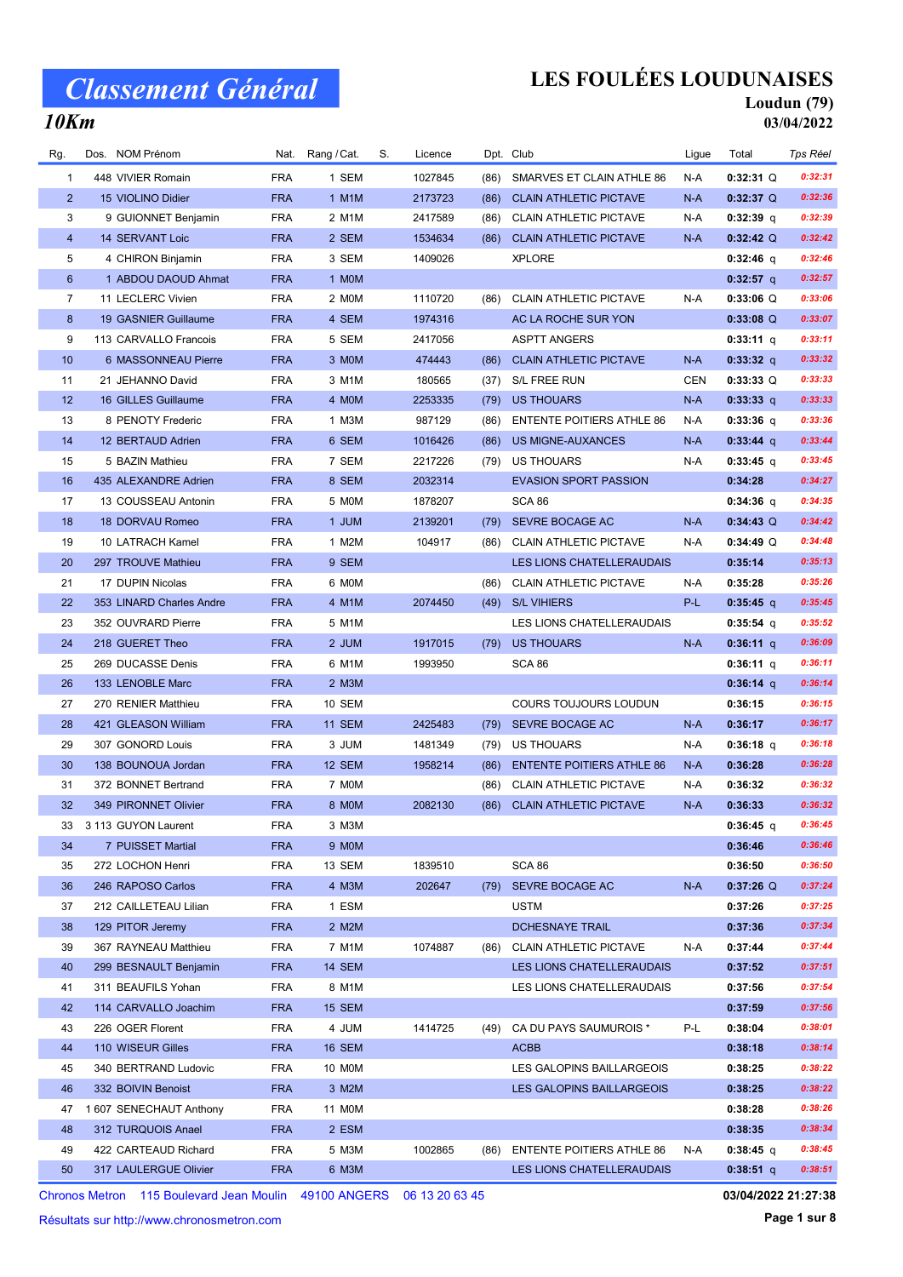### 10Km

## LES FOULÉES LOUDUNAISES

#### Loudun (79) 03/04/2022

| Rg.            | NOM Prénom<br>Dos.       |            | Nat. Rang / Cat. | S. | Licence |      | Dpt. Club                        | Ligue | Total       | Tps Réel |
|----------------|--------------------------|------------|------------------|----|---------|------|----------------------------------|-------|-------------|----------|
| 1              | 448 VIVIER Romain        | <b>FRA</b> | 1 SEM            |    | 1027845 | (86) | SMARVES ET CLAIN ATHLE 86        | N-A   | $0:32:31$ Q | 0:32:31  |
| $\overline{2}$ | 15 VIOLINO Didier        | <b>FRA</b> | 1 M1M            |    | 2173723 | (86) | <b>CLAIN ATHLETIC PICTAVE</b>    | $N-A$ | $0:32:37$ Q | 0:32:36  |
| 3              | 9 GUIONNET Benjamin      | <b>FRA</b> | 2 M1M            |    | 2417589 | (86) | <b>CLAIN ATHLETIC PICTAVE</b>    | N-A   | $0:32:39$ q | 0:32:39  |
| $\overline{4}$ | 14 SERVANT Loic          | <b>FRA</b> | 2 SEM            |    | 1534634 | (86) | <b>CLAIN ATHLETIC PICTAVE</b>    | $N-A$ | $0:32:42$ Q | 0:32:42  |
| 5              | 4 CHIRON Binjamin        | <b>FRA</b> | 3 SEM            |    | 1409026 |      | <b>XPLORE</b>                    |       | 0:32:46 q   | 0:32:46  |
| 6              | 1 ABDOU DAOUD Ahmat      | <b>FRA</b> | 1 MOM            |    |         |      |                                  |       | $0:32:57$ q | 0:32:57  |
| 7              | 11 LECLERC Vivien        | <b>FRA</b> | 2 MOM            |    | 1110720 | (86) | CLAIN ATHLETIC PICTAVE           | N-A   | $0:33:06$ Q | 0:33:06  |
| 8              | 19 GASNIER Guillaume     | <b>FRA</b> | 4 SEM            |    | 1974316 |      | AC LA ROCHE SUR YON              |       | $0:33:08$ Q | 0:33:07  |
| 9              | 113 CARVALLO Francois    | <b>FRA</b> | 5 SEM            |    | 2417056 |      | <b>ASPTT ANGERS</b>              |       | $0:33:11$ q | 0:33:11  |
| 10             | 6 MASSONNEAU Pierre      | <b>FRA</b> | 3 MOM            |    | 474443  | (86) | <b>CLAIN ATHLETIC PICTAVE</b>    | N-A   | $0:33:32$ q | 0:33:32  |
| 11             | 21 JEHANNO David         | <b>FRA</b> | 3 M1M            |    | 180565  | (37) | S/L FREE RUN                     | CEN   | $0:33:33$ Q | 0:33:33  |
| 12             | 16 GILLES Guillaume      | <b>FRA</b> | 4 MOM            |    | 2253335 | (79) | <b>US THOUARS</b>                | N-A   | 0:33:33 q   | 0:33:33  |
| 13             | 8 PENOTY Frederic        | <b>FRA</b> | 1 M3M            |    | 987129  | (86) | <b>ENTENTE POITIERS ATHLE 86</b> | N-A   | $0:33:36$ q | 0:33:36  |
| 14             | 12 BERTAUD Adrien        | <b>FRA</b> | 6 SEM            |    | 1016426 | (86) | <b>US MIGNE-AUXANCES</b>         | N-A   | $0:33:44$ q | 0:33:44  |
| 15             | 5 BAZIN Mathieu          | <b>FRA</b> | 7 SEM            |    | 2217226 | (79) | <b>US THOUARS</b>                | N-A   | $0:33:45$ q | 0:33:45  |
| 16             | 435 ALEXANDRE Adrien     | <b>FRA</b> | 8 SEM            |    | 2032314 |      | <b>EVASION SPORT PASSION</b>     |       | 0:34:28     | 0:34:27  |
| 17             | 13 COUSSEAU Antonin      | <b>FRA</b> | 5 MOM            |    | 1878207 |      | SCA 86                           |       | $0:34:36$ q | 0:34:35  |
| 18             | 18 DORVAU Romeo          | <b>FRA</b> | 1 JUM            |    | 2139201 | (79) | SEVRE BOCAGE AC                  | $N-A$ | $0:34:43$ Q | 0:34:42  |
| 19             | 10 LATRACH Kamel         | <b>FRA</b> | 1 M2M            |    | 104917  | (86) | <b>CLAIN ATHLETIC PICTAVE</b>    | N-A   | $0:34:49$ Q | 0:34:48  |
| 20             | 297 TROUVE Mathieu       | <b>FRA</b> | 9 SEM            |    |         |      | LES LIONS CHATELLERAUDAIS        |       | 0:35:14     | 0:35:13  |
| 21             | 17 DUPIN Nicolas         | <b>FRA</b> | 6 MOM            |    |         | (86) | <b>CLAIN ATHLETIC PICTAVE</b>    | N-A   | 0:35:28     | 0:35:26  |
| 22             | 353 LINARD Charles Andre | <b>FRA</b> | 4 M1M            |    | 2074450 | (49) | <b>S/L VIHIERS</b>               | P-L   | $0:35:45$ q | 0:35:45  |
| 23             | 352 OUVRARD Pierre       | <b>FRA</b> | 5 M1M            |    |         |      | LES LIONS CHATELLERAUDAIS        |       | $0:35:54$ q | 0:35:52  |
| 24             | 218 GUERET Theo          | <b>FRA</b> | 2 JUM            |    | 1917015 | (79) | <b>US THOUARS</b>                | $N-A$ | $0:36:11$ q | 0:36:09  |
| 25             | 269 DUCASSE Denis        | <b>FRA</b> | 6 M1M            |    | 1993950 |      | SCA 86                           |       | 0:36:11 q   | 0:36:11  |
| 26             | 133 LENOBLE Marc         | <b>FRA</b> | 2 M3M            |    |         |      |                                  |       | $0:36:14$ q | 0:36:14  |
| 27             | 270 RENIER Matthieu      | <b>FRA</b> | 10 SEM           |    |         |      | COURS TOUJOURS LOUDUN            |       | 0:36:15     | 0:36:15  |
| 28             | 421 GLEASON William      | <b>FRA</b> | <b>11 SEM</b>    |    | 2425483 | (79) | SEVRE BOCAGE AC                  | N-A   | 0:36:17     | 0:36:17  |
| 29             | 307 GONORD Louis         | <b>FRA</b> | 3 JUM            |    | 1481349 | (79) | US THOUARS                       | N-A   | $0:36:18$ q | 0:36:18  |
| 30             | 138 BOUNOUA Jordan       | <b>FRA</b> | 12 SEM           |    | 1958214 | (86) | <b>ENTENTE POITIERS ATHLE 86</b> | $N-A$ | 0:36:28     | 0:36:28  |
| 31             | 372 BONNET Bertrand      | <b>FRA</b> | 7 MOM            |    |         | (86) | <b>CLAIN ATHLETIC PICTAVE</b>    | N-A   | 0:36:32     | 0:36:32  |
| 32             | 349 PIRONNET Olivier     | <b>FRA</b> | 8 MOM            |    | 2082130 | (86) | <b>CLAIN ATHLETIC PICTAVE</b>    | N-A   | 0:36:33     | 0:36:32  |
| 33             | 3 113 GUYON Laurent      | <b>FRA</b> | 3 M3M            |    |         |      |                                  |       | 0:36:45 q   | 0:36:45  |
| 34             | 7 PUISSET Martial        | <b>FRA</b> | 9 MOM            |    |         |      |                                  |       | 0:36:46     | 0:36:46  |
| 35             | 272 LOCHON Henri         | <b>FRA</b> | 13 SEM           |    | 1839510 |      | SCA 86                           |       | 0:36:50     | 0:36:50  |
| 36             | 246 RAPOSO Carlos        | <b>FRA</b> | 4 M3M            |    | 202647  | (79) | SEVRE BOCAGE AC                  | N-A   | $0:37:26$ Q | 0:37:24  |
| 37             | 212 CAILLETEAU Lilian    | <b>FRA</b> | 1 ESM            |    |         |      | <b>USTM</b>                      |       | 0:37:26     | 0:37:25  |
| 38             | 129 PITOR Jeremy         | <b>FRA</b> | 2 M2M            |    |         |      | DCHESNAYE TRAIL                  |       | 0:37:36     | 0:37:34  |
| 39             | 367 RAYNEAU Matthieu     | <b>FRA</b> | 7 M1M            |    | 1074887 | (86) | <b>CLAIN ATHLETIC PICTAVE</b>    | N-A   | 0:37:44     | 0:37:44  |
| 40             | 299 BESNAULT Benjamin    | <b>FRA</b> | <b>14 SEM</b>    |    |         |      | LES LIONS CHATELLERAUDAIS        |       | 0:37:52     | 0:37:51  |
| 41             | 311 BEAUFILS Yohan       | <b>FRA</b> | 8 M1M            |    |         |      | LES LIONS CHATELLERAUDAIS        |       | 0:37:56     | 0:37:54  |
| 42             | 114 CARVALLO Joachim     | <b>FRA</b> | <b>15 SEM</b>    |    |         |      |                                  |       | 0:37:59     | 0:37:56  |
| 43             | 226 OGER Florent         | <b>FRA</b> | 4 JUM            |    | 1414725 | (49) | CA DU PAYS SAUMUROIS *           | P-L   | 0:38:04     | 0:38:01  |
| 44             | 110 WISEUR Gilles        | <b>FRA</b> | <b>16 SEM</b>    |    |         |      | <b>ACBB</b>                      |       | 0:38:18     | 0:38:14  |
| 45             | 340 BERTRAND Ludovic     | FRA        | 10 MOM           |    |         |      | LES GALOPINS BAILLARGEOIS        |       | 0:38:25     | 0:38:22  |
| 46             | 332 BOIVIN Benoist       | <b>FRA</b> | 3 M2M            |    |         |      | LES GALOPINS BAILLARGEOIS        |       | 0:38:25     | 0:38:22  |
| 47             | 1 607 SENECHAUT Anthony  | <b>FRA</b> | 11 M0M           |    |         |      |                                  |       | 0:38:28     | 0:38:26  |
| 48             | 312 TURQUOIS Anael       | <b>FRA</b> | 2 ESM            |    |         |      |                                  |       | 0:38:35     | 0:38:34  |
| 49             | 422 CARTEAUD Richard     | <b>FRA</b> | 5 M3M            |    | 1002865 | (86) | <b>ENTENTE POITIERS ATHLE 86</b> | N-A   | $0:38:45$ q | 0:38:45  |
| 50             | 317 LAULERGUE Olivier    | <b>FRA</b> | 6 M3M            |    |         |      | LES LIONS CHATELLERAUDAIS        |       | $0:38:51$ q | 0:38:51  |

Chronos Metron 115 Boulevard Jean Moulin 49100 ANGERS 06 13 20 63 45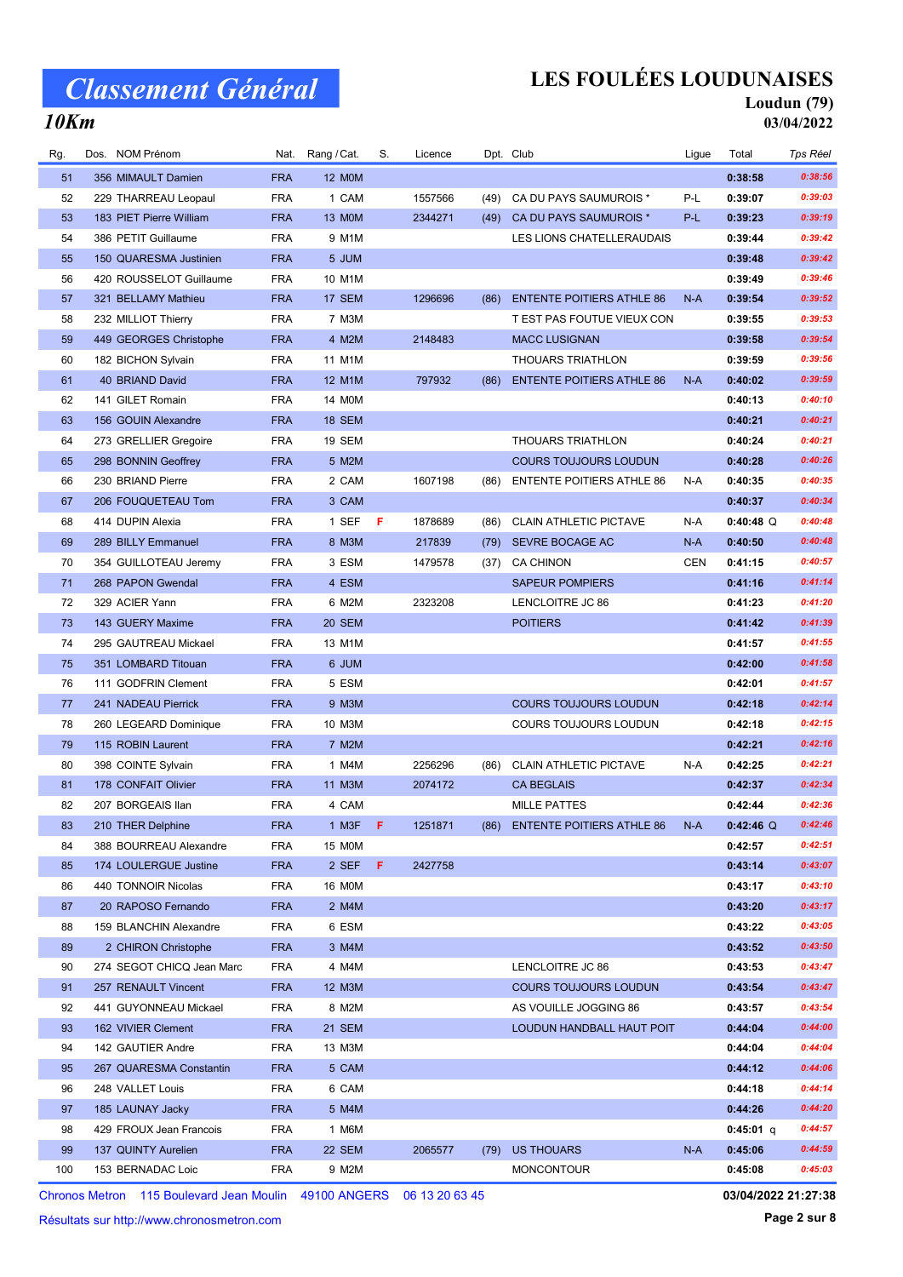## LES FOULÉES LOUDUNAISES

## Loudun (79)

### 10Km

03/04/2022

| Rg. | Dos. | NOM Prénom                | Nat.       | Rang / Cat.      | S.  | Licence |      | Dpt. Club                        | Ligue      | Total       | Tps Réel |
|-----|------|---------------------------|------------|------------------|-----|---------|------|----------------------------------|------------|-------------|----------|
| 51  |      | 356 MIMAULT Damien        | <b>FRA</b> | <b>12 MOM</b>    |     |         |      |                                  |            | 0:38:58     | 0:38:56  |
| 52  |      | 229 THARREAU Leopaul      | <b>FRA</b> | 1 CAM            |     | 1557566 | (49) | CA DU PAYS SAUMUROIS *           | P-L        | 0:39:07     | 0:39:03  |
| 53  |      | 183 PIET Pierre William   | <b>FRA</b> | 13 MOM           |     | 2344271 | (49) | CA DU PAYS SAUMUROIS *           | P-L        | 0:39:23     | 0:39:19  |
| 54  |      | 386 PETIT Guillaume       | <b>FRA</b> | 9 M1M            |     |         |      | LES LIONS CHATELLERAUDAIS        |            | 0:39:44     | 0:39:42  |
| 55  |      | 150 QUARESMA Justinien    | <b>FRA</b> | 5 JUM            |     |         |      |                                  |            | 0:39:48     | 0:39:42  |
| 56  |      | 420 ROUSSELOT Guillaume   | <b>FRA</b> | 10 M1M           |     |         |      |                                  |            | 0:39:49     | 0:39:46  |
| 57  |      | 321 BELLAMY Mathieu       | <b>FRA</b> | 17 SEM           |     | 1296696 | (86) | <b>ENTENTE POITIERS ATHLE 86</b> | $N-A$      | 0:39:54     | 0:39:52  |
| 58  |      | 232 MILLIOT Thierry       | <b>FRA</b> | 7 M3M            |     |         |      | T EST PAS FOUTUE VIEUX CON       |            | 0:39:55     | 0:39:53  |
| 59  |      | 449 GEORGES Christophe    | <b>FRA</b> | 4 M2M            |     | 2148483 |      | <b>MACC LUSIGNAN</b>             |            | 0:39:58     | 0:39:54  |
| 60  |      | 182 BICHON Sylvain        | <b>FRA</b> | 11 M1M           |     |         |      | <b>THOUARS TRIATHLON</b>         |            | 0:39:59     | 0:39:56  |
| 61  |      | 40 BRIAND David           | <b>FRA</b> | 12 M1M           |     | 797932  | (86) | <b>ENTENTE POITIERS ATHLE 86</b> | $N-A$      | 0:40:02     | 0:39:59  |
| 62  |      | 141 GILET Romain          | <b>FRA</b> | 14 M0M           |     |         |      |                                  |            | 0:40:13     | 0:40:10  |
| 63  |      | 156 GOUIN Alexandre       | <b>FRA</b> | <b>18 SEM</b>    |     |         |      |                                  |            | 0:40:21     | 0:40:21  |
| 64  |      | 273 GRELLIER Gregoire     | <b>FRA</b> | 19 SEM           |     |         |      | <b>THOUARS TRIATHLON</b>         |            | 0:40:24     | 0:40:21  |
| 65  |      | 298 BONNIN Geoffrey       | <b>FRA</b> | 5 M2M            |     |         |      | <b>COURS TOUJOURS LOUDUN</b>     |            | 0:40:28     | 0:40:26  |
| 66  |      | 230 BRIAND Pierre         | <b>FRA</b> | 2 CAM            |     | 1607198 | (86) | <b>ENTENTE POITIERS ATHLE 86</b> | N-A        | 0:40:35     | 0:40:35  |
| 67  |      | 206 FOUQUETEAU Tom        | <b>FRA</b> | 3 CAM            |     |         |      |                                  |            | 0:40:37     | 0:40:34  |
| 68  |      | 414 DUPIN Alexia          | <b>FRA</b> | 1 SEF            | - F | 1878689 | (86) | <b>CLAIN ATHLETIC PICTAVE</b>    | N-A        | $0:40:48$ Q | 0:40:48  |
| 69  |      | 289 BILLY Emmanuel        | <b>FRA</b> | 8 M3M            |     | 217839  | (79) | SEVRE BOCAGE AC                  | $N-A$      | 0:40:50     | 0:40:48  |
| 70  |      | 354 GUILLOTEAU Jeremy     | <b>FRA</b> | 3 ESM            |     | 1479578 | (37) | <b>CA CHINON</b>                 | <b>CEN</b> | 0:41:15     | 0:40:57  |
| 71  |      | 268 PAPON Gwendal         | <b>FRA</b> | 4 ESM            |     |         |      | <b>SAPEUR POMPIERS</b>           |            | 0:41:16     | 0:41:14  |
| 72  |      | 329 ACIER Yann            | <b>FRA</b> | 6 M2M            |     | 2323208 |      | LENCLOITRE JC 86                 |            | 0:41:23     | 0:41:20  |
| 73  |      | 143 GUERY Maxime          | <b>FRA</b> | 20 SEM           |     |         |      | <b>POITIERS</b>                  |            | 0:41:42     | 0:41:39  |
| 74  |      | 295 GAUTREAU Mickael      | <b>FRA</b> | 13 M1M           |     |         |      |                                  |            | 0:41:57     | 0:41:55  |
| 75  |      | 351 LOMBARD Titouan       | <b>FRA</b> | 6 JUM            |     |         |      |                                  |            | 0:42:00     | 0:41:58  |
| 76  |      | 111 GODFRIN Clement       | <b>FRA</b> | 5 ESM            |     |         |      |                                  |            | 0:42:01     | 0:41:57  |
| 77  |      | 241 NADEAU Pierrick       | <b>FRA</b> | 9 M3M            |     |         |      | <b>COURS TOUJOURS LOUDUN</b>     |            | 0:42:18     | 0:42:14  |
| 78  |      | 260 LEGEARD Dominique     | <b>FRA</b> | 10 M3M           |     |         |      | COURS TOUJOURS LOUDUN            |            | 0:42:18     | 0:42:15  |
| 79  |      | 115 ROBIN Laurent         | <b>FRA</b> | 7 M2M            |     |         |      |                                  |            | 0:42:21     | 0:42:16  |
| 80  |      | 398 COINTE Sylvain        | <b>FRA</b> | 1 M4M            |     | 2256296 | (86) | <b>CLAIN ATHLETIC PICTAVE</b>    | N-A        | 0:42:25     | 0:42:21  |
| 81  |      | 178 CONFAIT Olivier       | <b>FRA</b> | 11 M3M           |     | 2074172 |      | <b>CA BEGLAIS</b>                |            | 0:42:37     | 0:42:34  |
| 82  |      | 207 BORGEAIS Ilan         | <b>FRA</b> | 4 CAM            |     |         |      | <b>MILLE PATTES</b>              |            | 0:42:44     | 0:42:36  |
| 83  |      | 210 THER Delphine         | <b>FRA</b> | 1 M3F $\qquad$ F |     | 1251871 | (86) | <b>ENTENTE POITIERS ATHLE 86</b> | N-A        | $0:42:46$ Q | 0:42:46  |
| 84  |      | 388 BOURREAU Alexandre    | <b>FRA</b> | 15 MOM           |     |         |      |                                  |            | 0:42:57     | 0:42:51  |
| 85  |      | 174 LOULERGUE Justine     | <b>FRA</b> | 2 SEF            | F.  | 2427758 |      |                                  |            | 0:43:14     | 0:43:07  |
| 86  |      | 440 TONNOIR Nicolas       | <b>FRA</b> | <b>16 MOM</b>    |     |         |      |                                  |            | 0:43:17     | 0:43:10  |
| 87  |      | 20 RAPOSO Fernando        | <b>FRA</b> | 2 M4M            |     |         |      |                                  |            | 0:43:20     | 0:43:17  |
| 88  |      | 159 BLANCHIN Alexandre    | <b>FRA</b> | 6 ESM            |     |         |      |                                  |            | 0:43:22     | 0:43:05  |
| 89  |      | 2 CHIRON Christophe       | <b>FRA</b> | 3 M4M            |     |         |      |                                  |            | 0:43:52     | 0:43:50  |
| 90  |      | 274 SEGOT CHICQ Jean Marc | <b>FRA</b> | 4 M4M            |     |         |      | LENCLOITRE JC 86                 |            | 0:43:53     | 0:43:47  |
| 91  |      | 257 RENAULT Vincent       | <b>FRA</b> | 12 M3M           |     |         |      | <b>COURS TOUJOURS LOUDUN</b>     |            | 0:43:54     | 0:43:47  |
| 92  |      | 441 GUYONNEAU Mickael     | <b>FRA</b> | 8 M2M            |     |         |      | AS VOUILLE JOGGING 86            |            | 0:43:57     | 0:43:54  |
| 93  |      | 162 VIVIER Clement        | <b>FRA</b> | 21 SEM           |     |         |      | LOUDUN HANDBALL HAUT POIT        |            | 0:44:04     | 0:44:00  |
| 94  |      | 142 GAUTIER Andre         | <b>FRA</b> | 13 M3M           |     |         |      |                                  |            | 0:44:04     | 0:44:04  |
| 95  |      | 267 QUARESMA Constantin   | <b>FRA</b> | 5 CAM            |     |         |      |                                  |            | 0:44:12     | 0:44:06  |
| 96  |      | 248 VALLET Louis          | <b>FRA</b> | 6 CAM            |     |         |      |                                  |            | 0:44:18     | 0:44:14  |
| 97  |      | 185 LAUNAY Jacky          | <b>FRA</b> | 5 M4M            |     |         |      |                                  |            | 0:44:26     | 0:44:20  |
| 98  |      | 429 FROUX Jean Francois   | <b>FRA</b> | 1 M6M            |     |         |      |                                  |            | 0:45:01 q   | 0:44:57  |
| 99  |      | 137 QUINTY Aurelien       | <b>FRA</b> | 22 SEM           |     | 2065577 | (79) | US THOUARS                       | N-A        | 0:45:06     | 0:44:59  |
| 100 |      | 153 BERNADAC Loic         | <b>FRA</b> | 9 M2M            |     |         |      | <b>MONCONTOUR</b>                |            | 0:45:08     | 0:45:03  |

Chronos Metron 115 Boulevard Jean Moulin 49100 ANGERS 06 13 20 63 45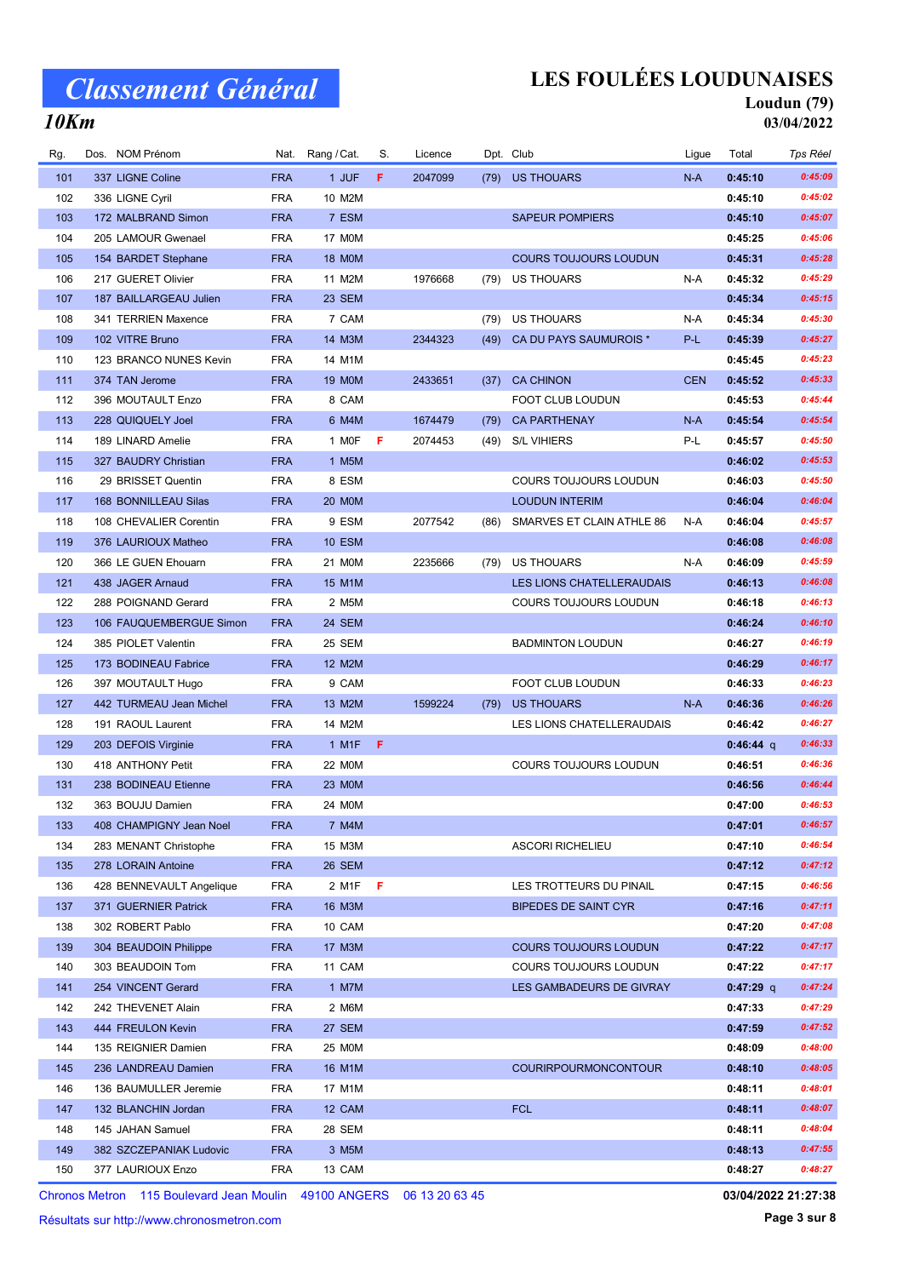## LES FOULÉES LOUDUNAISES

## Loudun (79)

10Km

| 03/04/2022 |  |
|------------|--|
|            |  |

| Rg. | Dos. NOM Prénom          | Nat.       | Rang / Cat.   | S. | Licence |      | Dpt. Club                    |            | Ligue | Total       | Tps Réel |
|-----|--------------------------|------------|---------------|----|---------|------|------------------------------|------------|-------|-------------|----------|
| 101 | 337 LIGNE Coline         | <b>FRA</b> | 1 JUF         | F. | 2047099 |      | (79) US THOUARS              | $N-A$      |       | 0:45:10     | 0:45:09  |
| 102 | 336 LIGNE Cyril          | <b>FRA</b> | 10 M2M        |    |         |      |                              |            |       | 0:45:10     | 0:45:02  |
| 103 | 172 MALBRAND Simon       | <b>FRA</b> | 7 ESM         |    |         |      | <b>SAPEUR POMPIERS</b>       |            |       | 0:45:10     | 0:45:07  |
| 104 | 205 LAMOUR Gwenael       | <b>FRA</b> | 17 M0M        |    |         |      |                              |            |       | 0:45:25     | 0:45:06  |
| 105 | 154 BARDET Stephane      | <b>FRA</b> | <b>18 MOM</b> |    |         |      | <b>COURS TOUJOURS LOUDUN</b> |            |       | 0:45:31     | 0:45:28  |
| 106 | 217 GUERET Olivier       | <b>FRA</b> | 11 M2M        |    | 1976668 | (79) | US THOUARS                   | N-A        |       | 0:45:32     | 0:45:29  |
| 107 | 187 BAILLARGEAU Julien   | <b>FRA</b> | 23 SEM        |    |         |      |                              |            |       | 0:45:34     | 0:45:15  |
| 108 | 341 TERRIEN Maxence      | <b>FRA</b> | 7 CAM         |    |         | (79) | <b>US THOUARS</b>            | N-A        |       | 0:45:34     | 0:45:30  |
| 109 | 102 VITRE Bruno          | <b>FRA</b> | 14 M3M        |    | 2344323 | (49) | CA DU PAYS SAUMUROIS *       | P-L        |       | 0:45:39     | 0:45:27  |
| 110 | 123 BRANCO NUNES Kevin   | <b>FRA</b> | 14 M1M        |    |         |      |                              |            |       | 0:45:45     | 0:45:23  |
| 111 | 374 TAN Jerome           | <b>FRA</b> | <b>19 MOM</b> |    | 2433651 | (37) | <b>CA CHINON</b>             | <b>CEN</b> |       | 0:45:52     | 0:45:33  |
| 112 | 396 MOUTAULT Enzo        | <b>FRA</b> | 8 CAM         |    |         |      | FOOT CLUB LOUDUN             |            |       | 0:45:53     | 0:45:44  |
| 113 | 228 QUIQUELY Joel        | <b>FRA</b> | 6 M4M         |    | 1674479 | (79) | <b>CA PARTHENAY</b>          | $N-A$      |       | 0:45:54     | 0:45:54  |
| 114 | 189 LINARD Amelie        | <b>FRA</b> | 1 MOF         | F  | 2074453 | (49) | <b>S/L VIHIERS</b>           | P-L        |       | 0:45:57     | 0:45:50  |
| 115 | 327 BAUDRY Christian     | <b>FRA</b> | 1 M5M         |    |         |      |                              |            |       | 0:46:02     | 0:45:53  |
| 116 | 29 BRISSET Quentin       | <b>FRA</b> | 8 ESM         |    |         |      | <b>COURS TOUJOURS LOUDUN</b> |            |       | 0:46:03     | 0:45:50  |
| 117 | 168 BONNILLEAU Silas     | <b>FRA</b> | <b>20 MOM</b> |    |         |      | <b>LOUDUN INTERIM</b>        |            |       | 0:46:04     | 0:46:04  |
| 118 | 108 CHEVALIER Corentin   | <b>FRA</b> | 9 ESM         |    | 2077542 | (86) | SMARVES ET CLAIN ATHLE 86    | N-A        |       | 0:46:04     | 0:45:57  |
| 119 | 376 LAURIOUX Matheo      | <b>FRA</b> | <b>10 ESM</b> |    |         |      |                              |            |       | 0:46:08     | 0:46:08  |
| 120 | 366 LE GUEN Ehouarn      | <b>FRA</b> | 21 M0M        |    | 2235666 | (79) | <b>US THOUARS</b>            | N-A        |       | 0:46:09     | 0:45:59  |
| 121 | 438 JAGER Arnaud         | <b>FRA</b> | 15 M1M        |    |         |      | LES LIONS CHATELLERAUDAIS    |            |       | 0:46:13     | 0:46:08  |
| 122 | 288 POIGNAND Gerard      | <b>FRA</b> | 2 M5M         |    |         |      | COURS TOUJOURS LOUDUN        |            |       | 0:46:18     | 0:46:13  |
| 123 | 106 FAUQUEMBERGUE Simon  | <b>FRA</b> | 24 SEM        |    |         |      |                              |            |       | 0:46:24     | 0:46:10  |
| 124 | 385 PIOLET Valentin      | <b>FRA</b> | 25 SEM        |    |         |      | <b>BADMINTON LOUDUN</b>      |            |       | 0:46:27     | 0:46:19  |
| 125 | 173 BODINEAU Fabrice     | <b>FRA</b> | 12 M2M        |    |         |      |                              |            |       | 0:46:29     | 0:46:17  |
| 126 | 397 MOUTAULT Hugo        | <b>FRA</b> | 9 CAM         |    |         |      | FOOT CLUB LOUDUN             |            |       | 0:46:33     | 0:46:23  |
| 127 | 442 TURMEAU Jean Michel  | <b>FRA</b> | 13 M2M        |    | 1599224 | (79) | US THOUARS                   | $N-A$      |       | 0:46:36     | 0:46:26  |
| 128 | 191 RAOUL Laurent        | <b>FRA</b> | 14 M2M        |    |         |      | LES LIONS CHATELLERAUDAIS    |            |       | 0:46:42     | 0:46:27  |
| 129 | 203 DEFOIS Virginie      | <b>FRA</b> | 1 M1F         | F  |         |      |                              |            |       | $0:46:44$ q | 0:46:33  |
| 130 | 418 ANTHONY Petit        | <b>FRA</b> | 22 M0M        |    |         |      | <b>COURS TOUJOURS LOUDUN</b> |            |       | 0:46:51     | 0:46:36  |
| 131 | 238 BODINEAU Etienne     | <b>FRA</b> | 23 MOM        |    |         |      |                              |            |       | 0:46:56     | 0:46:44  |
| 132 | 363 BOUJU Damien         | <b>FRA</b> | 24 M0M        |    |         |      |                              |            |       | 0:47:00     | 0:46:53  |
| 133 | 408 CHAMPIGNY Jean Noel  | <b>FRA</b> | 7 M4M         |    |         |      |                              |            |       | 0:47:01     | 0:46:57  |
| 134 | 283 MENANT Christophe    | <b>FRA</b> | 15 M3M        |    |         |      | <b>ASCORI RICHELIEU</b>      |            |       | 0:47:10     | 0:46:54  |
| 135 | 278 LORAIN Antoine       | <b>FRA</b> | <b>26 SEM</b> |    |         |      |                              |            |       | 0:47:12     | 0:47:12  |
| 136 | 428 BENNEVAULT Angelique | <b>FRA</b> | 2 M1F         | F  |         |      | LES TROTTEURS DU PINAIL      |            |       | 0:47:15     | 0:46:56  |
| 137 | 371 GUERNIER Patrick     | <b>FRA</b> | 16 M3M        |    |         |      | <b>BIPEDES DE SAINT CYR</b>  |            |       | 0:47:16     | 0:47:11  |
| 138 | 302 ROBERT Pablo         | <b>FRA</b> | 10 CAM        |    |         |      |                              |            |       | 0:47:20     | 0:47:08  |
| 139 | 304 BEAUDOIN Philippe    | <b>FRA</b> | 17 M3M        |    |         |      | <b>COURS TOUJOURS LOUDUN</b> |            |       | 0:47:22     | 0:47:17  |
| 140 | 303 BEAUDOIN Tom         | <b>FRA</b> | 11 CAM        |    |         |      | COURS TOUJOURS LOUDUN        |            |       | 0:47:22     | 0:47:17  |
| 141 | 254 VINCENT Gerard       | <b>FRA</b> | 1 M7M         |    |         |      | LES GAMBADEURS DE GIVRAY     |            |       | 0:47:29 q   | 0:47:24  |
| 142 | 242 THEVENET Alain       | <b>FRA</b> | 2 M6M         |    |         |      |                              |            |       | 0:47:33     | 0:47:29  |
| 143 | 444 FREULON Kevin        | <b>FRA</b> | 27 SEM        |    |         |      |                              |            |       | 0:47:59     | 0:47:52  |
| 144 | 135 REIGNIER Damien      | <b>FRA</b> | 25 M0M        |    |         |      |                              |            |       | 0:48:09     | 0:48:00  |
| 145 | 236 LANDREAU Damien      | <b>FRA</b> | 16 M1M        |    |         |      | <b>COURIRPOURMONCONTOUR</b>  |            |       | 0:48:10     | 0:48:05  |
| 146 | 136 BAUMULLER Jeremie    | <b>FRA</b> | 17 M1M        |    |         |      |                              |            |       | 0:48:11     | 0:48:01  |
| 147 | 132 BLANCHIN Jordan      | <b>FRA</b> | 12 CAM        |    |         |      | <b>FCL</b>                   |            |       | 0:48:11     | 0:48:07  |
| 148 | 145 JAHAN Samuel         | <b>FRA</b> | 28 SEM        |    |         |      |                              |            |       | 0:48:11     | 0:48:04  |
| 149 | 382 SZCZEPANIAK Ludovic  | <b>FRA</b> | 3 M5M         |    |         |      |                              |            |       | 0:48:13     | 0:47:55  |
| 150 | 377 LAURIOUX Enzo        | FRA        | 13 CAM        |    |         |      |                              |            |       | 0:48:27     | 0:48:27  |

Chronos Metron 115 Boulevard Jean Moulin 49100 ANGERS 06 13 20 63 45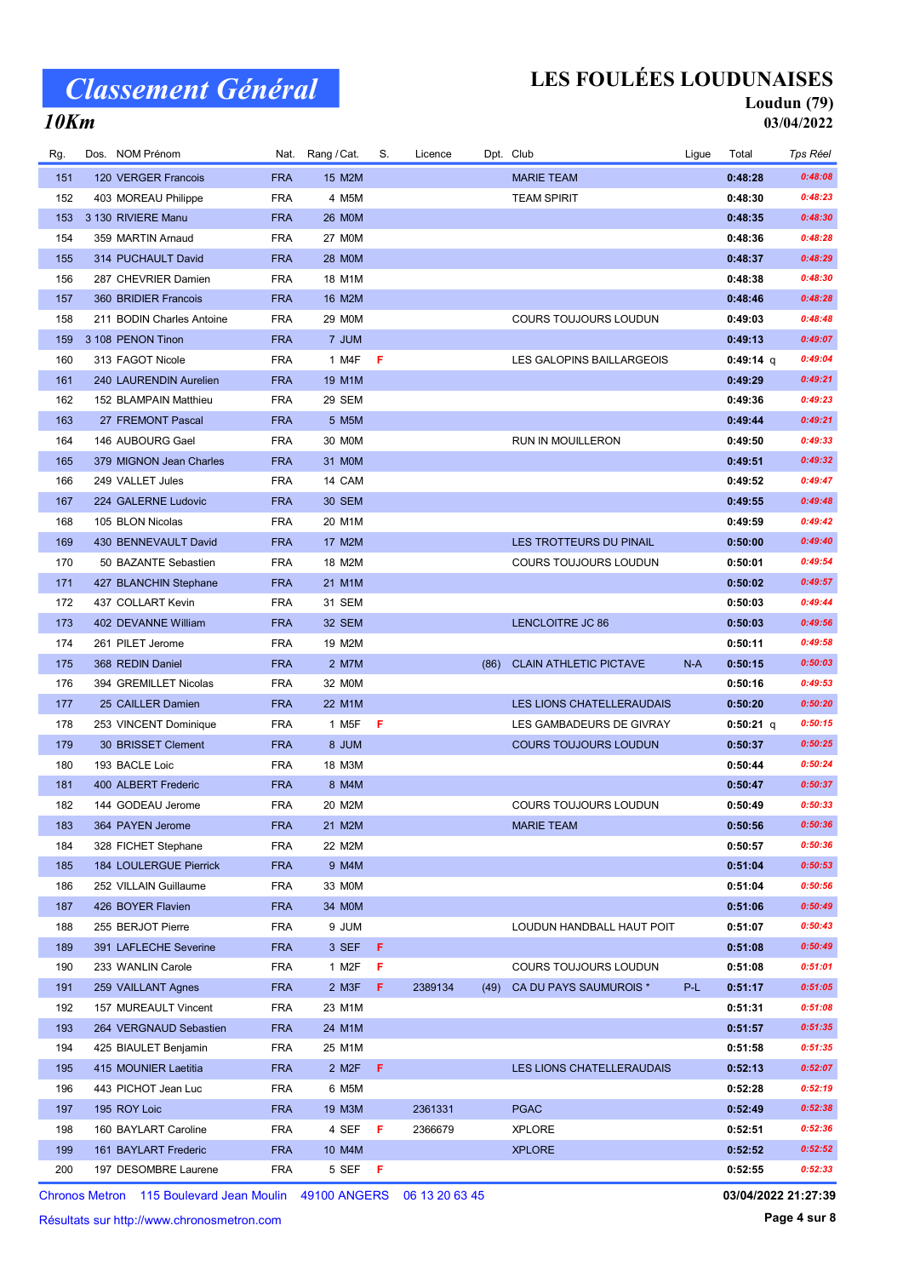## LES FOULÉES LOUDUNAISES

#### Loudun (79) 03/04/2022

#### 10Km

| Rg. | Dos. NOM Prénom           | Nat.       | Rang / Cat.        | S.  | Licence |      | Dpt. Club                     | Ligue | Total       | Tps Réel |
|-----|---------------------------|------------|--------------------|-----|---------|------|-------------------------------|-------|-------------|----------|
| 151 | 120 VERGER Francois       | <b>FRA</b> | 15 M2M             |     |         |      | <b>MARIE TEAM</b>             |       | 0:48:28     | 0:48:08  |
| 152 | 403 MOREAU Philippe       | <b>FRA</b> | 4 M5M              |     |         |      | <b>TEAM SPIRIT</b>            |       | 0:48:30     | 0:48:23  |
| 153 | 3 130 RIVIERE Manu        | <b>FRA</b> | <b>26 MOM</b>      |     |         |      |                               |       | 0:48:35     | 0:48:30  |
| 154 | 359 MARTIN Arnaud         | <b>FRA</b> | <b>27 MOM</b>      |     |         |      |                               |       | 0:48:36     | 0:48:28  |
| 155 | 314 PUCHAULT David        | <b>FRA</b> | 28 M0M             |     |         |      |                               |       | 0:48:37     | 0:48:29  |
| 156 | 287 CHEVRIER Damien       | <b>FRA</b> | 18 M1M             |     |         |      |                               |       | 0:48:38     | 0:48:30  |
| 157 | 360 BRIDIER Francois      | <b>FRA</b> | 16 M2M             |     |         |      |                               |       | 0:48:46     | 0:48:28  |
| 158 | 211 BODIN Charles Antoine | <b>FRA</b> | 29 M0M             |     |         |      | COURS TOUJOURS LOUDUN         |       | 0:49:03     | 0:48:48  |
| 159 | 3 108 PENON Tinon         | <b>FRA</b> | 7 JUM              |     |         |      |                               |       | 0:49:13     | 0:49:07  |
| 160 | 313 FAGOT Nicole          | <b>FRA</b> | 1 M4F              | F   |         |      | LES GALOPINS BAILLARGEOIS     |       | $0:49:14$ q | 0:49:04  |
| 161 | 240 LAURENDIN Aurelien    | <b>FRA</b> | 19 M1M             |     |         |      |                               |       | 0:49:29     | 0:49:21  |
| 162 | 152 BLAMPAIN Matthieu     | <b>FRA</b> | 29 SEM             |     |         |      |                               |       | 0:49:36     | 0:49:23  |
| 163 | 27 FREMONT Pascal         | <b>FRA</b> | 5 M5M              |     |         |      |                               |       | 0:49:44     | 0:49:21  |
| 164 | 146 AUBOURG Gael          | <b>FRA</b> | 30 M0M             |     |         |      | RUN IN MOUILLERON             |       | 0:49:50     | 0:49:33  |
| 165 | 379 MIGNON Jean Charles   | <b>FRA</b> | 31 M0M             |     |         |      |                               |       | 0:49:51     | 0:49:32  |
| 166 | 249 VALLET Jules          | <b>FRA</b> | 14 CAM             |     |         |      |                               |       | 0:49:52     | 0:49:47  |
| 167 | 224 GALERNE Ludovic       | <b>FRA</b> | <b>30 SEM</b>      |     |         |      |                               |       | 0:49:55     | 0:49:48  |
| 168 | 105 BLON Nicolas          | <b>FRA</b> | 20 M1M             |     |         |      |                               |       | 0:49:59     | 0:49:42  |
| 169 | 430 BENNEVAULT David      | <b>FRA</b> | 17 M2M             |     |         |      | LES TROTTEURS DU PINAIL       |       | 0:50:00     | 0:49:40  |
| 170 | 50 BAZANTE Sebastien      | <b>FRA</b> | 18 M2M             |     |         |      | <b>COURS TOUJOURS LOUDUN</b>  |       | 0:50:01     | 0:49:54  |
| 171 | 427 BLANCHIN Stephane     | <b>FRA</b> | 21 M1M             |     |         |      |                               |       | 0:50:02     | 0:49:57  |
| 172 | 437 COLLART Kevin         | <b>FRA</b> | 31 SEM             |     |         |      |                               |       | 0:50:03     | 0:49:44  |
| 173 | 402 DEVANNE William       | <b>FRA</b> | 32 SEM             |     |         |      | <b>LENCLOITRE JC 86</b>       |       | 0:50:03     | 0:49:56  |
| 174 | 261 PILET Jerome          | <b>FRA</b> | 19 M2M             |     |         |      |                               |       | 0:50:11     | 0:49:58  |
| 175 | 368 REDIN Daniel          | <b>FRA</b> | 2 M7M              |     |         | (86) | <b>CLAIN ATHLETIC PICTAVE</b> | $N-A$ | 0:50:15     | 0:50:03  |
| 176 | 394 GREMILLET Nicolas     | <b>FRA</b> | 32 M0M             |     |         |      |                               |       | 0:50:16     | 0:49:53  |
| 177 | 25 CAILLER Damien         | <b>FRA</b> | 22 M1M             |     |         |      | LES LIONS CHATELLERAUDAIS     |       | 0:50:20     | 0:50:20  |
| 178 | 253 VINCENT Dominique     | <b>FRA</b> | 1 M <sub>5</sub> F | - F |         |      | LES GAMBADEURS DE GIVRAY      |       | 0:50:21 q   | 0:50:15  |
| 179 | 30 BRISSET Clement        | <b>FRA</b> | 8 JUM              |     |         |      | <b>COURS TOUJOURS LOUDUN</b>  |       | 0:50:37     | 0:50:25  |
| 180 | 193 BACLE Loic            | <b>FRA</b> | 18 M3M             |     |         |      |                               |       | 0:50:44     | 0:50:24  |
| 181 | 400 ALBERT Frederic       | <b>FRA</b> | 8 M4M              |     |         |      |                               |       | 0:50:47     | 0:50:37  |
| 182 | 144 GODEAU Jerome         | <b>FRA</b> | 20 M2M             |     |         |      | <b>COURS TOUJOURS LOUDUN</b>  |       | 0:50:49     | 0:50:33  |
| 183 | 364 PAYEN Jerome          | <b>FRA</b> | 21 M2M             |     |         |      | <b>MARIE TEAM</b>             |       | 0:50:56     | 0:50:36  |
| 184 | 328 FICHET Stephane       | <b>FRA</b> | 22 M2M             |     |         |      |                               |       | 0:50:57     | 0:50:36  |
| 185 | 184 LOULERGUE Pierrick    | <b>FRA</b> | 9 M4M              |     |         |      |                               |       | 0:51:04     | 0:50:53  |
| 186 | 252 VILLAIN Guillaume     | <b>FRA</b> | 33 M0M             |     |         |      |                               |       | 0:51:04     | 0:50:56  |
| 187 | 426 BOYER Flavien         | <b>FRA</b> | 34 MOM             |     |         |      |                               |       | 0:51:06     | 0:50:49  |
| 188 | 255 BERJOT Pierre         | <b>FRA</b> | 9 JUM              |     |         |      | LOUDUN HANDBALL HAUT POIT     |       | 0:51:07     | 0:50:43  |
| 189 | 391 LAFLECHE Severine     | <b>FRA</b> | 3 SEF              | -F  |         |      |                               |       | 0:51:08     | 0:50:49  |
| 190 | 233 WANLIN Carole         | <b>FRA</b> | 1 M2F              | F   |         |      | COURS TOUJOURS LOUDUN         |       | 0:51:08     | 0:51:01  |
| 191 | 259 VAILLANT Agnes        | <b>FRA</b> | 2 M3F              | F.  | 2389134 | (49) | CA DU PAYS SAUMUROIS *        | P-L   | 0:51:17     | 0:51:05  |
| 192 | 157 MUREAULT Vincent      | <b>FRA</b> | 23 M1M             |     |         |      |                               |       | 0:51:31     | 0:51:08  |
| 193 | 264 VERGNAUD Sebastien    | <b>FRA</b> | 24 M1M             |     |         |      |                               |       | 0:51:57     | 0:51:35  |
| 194 | 425 BIAULET Benjamin      | <b>FRA</b> | 25 M1M             |     |         |      |                               |       | 0:51:58     | 0:51:35  |
| 195 | 415 MOUNIER Laetitia      | <b>FRA</b> | 2 M2F              | F   |         |      | LES LIONS CHATELLERAUDAIS     |       | 0:52:13     | 0:52:07  |
| 196 | 443 PICHOT Jean Luc       | <b>FRA</b> | 6 M5M              |     |         |      |                               |       | 0:52:28     | 0:52:19  |
| 197 | 195 ROY Loic              | <b>FRA</b> | 19 M3M             |     | 2361331 |      | <b>PGAC</b>                   |       | 0:52:49     | 0:52:38  |
| 198 | 160 BAYLART Caroline      | <b>FRA</b> | 4 SEF              | F   | 2366679 |      | <b>XPLORE</b>                 |       | 0:52:51     | 0:52:36  |
| 199 | 161 BAYLART Frederic      | <b>FRA</b> | 10 M4M             |     |         |      | <b>XPLORE</b>                 |       | 0:52:52     | 0:52:52  |
| 200 | 197 DESOMBRE Laurene      | <b>FRA</b> | 5 SEF F            |     |         |      |                               |       | 0:52:55     | 0:52:33  |
|     |                           |            |                    |     |         |      |                               |       |             |          |

Chronos Metron 115 Boulevard Jean Moulin 49100 ANGERS 06 13 20 63 45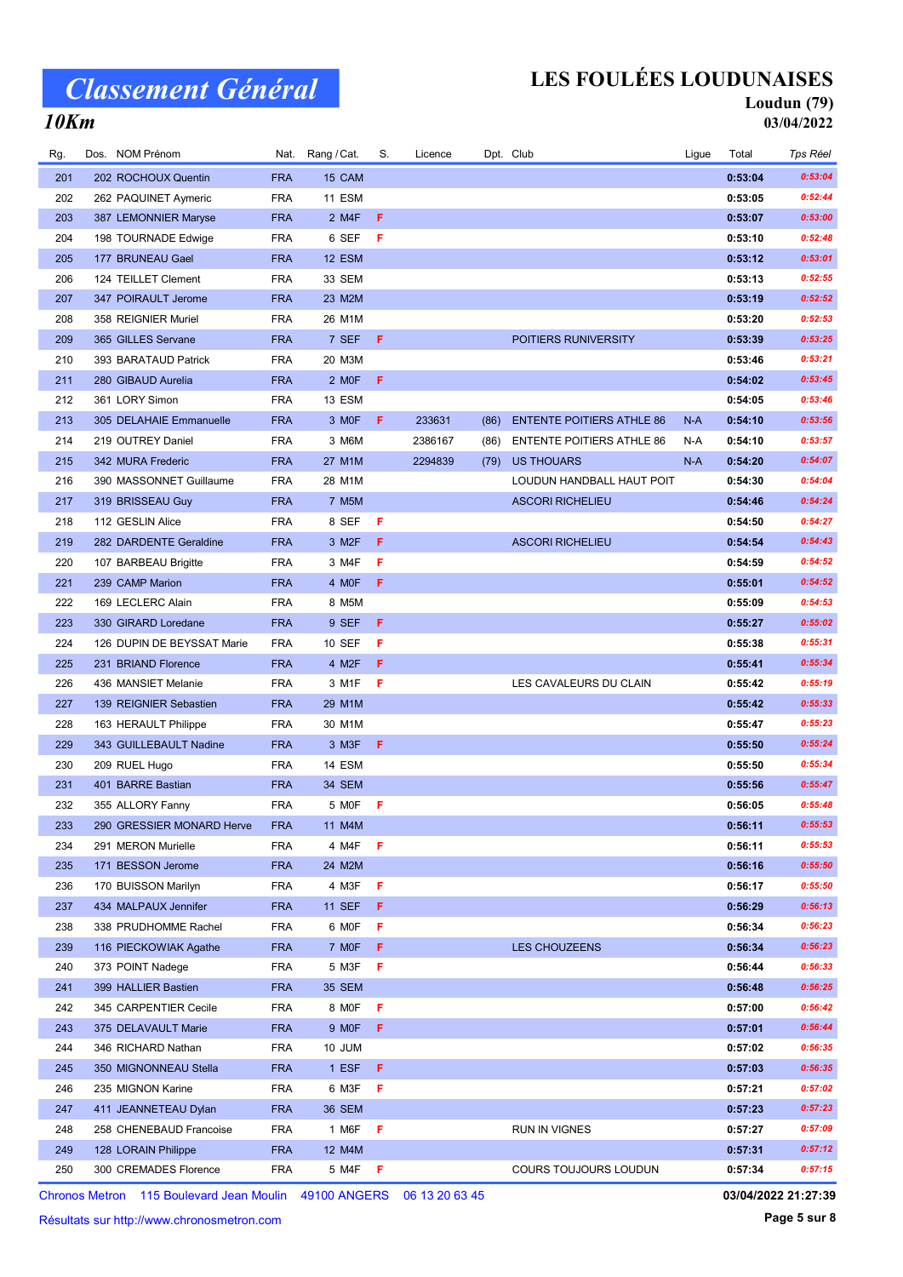## LES FOULÉES LOUDUNAISES

#### Loudun (79) 03/04/2022

#### 10Km

| 204 | 198 TOURNADE Edwige                     | <b>FRA</b> | 6 SEF              | F  |         |      |                                  |       | 0:53:10 | 0:52:48            |
|-----|-----------------------------------------|------------|--------------------|----|---------|------|----------------------------------|-------|---------|--------------------|
|     |                                         | <b>FRA</b> |                    |    |         |      |                                  |       | 0:53:12 | 0:53:01            |
| 205 | 177 BRUNEAU Gael<br>124 TEILLET Clement | <b>FRA</b> | 12 ESM<br>33 SEM   |    |         |      |                                  |       | 0:53:13 | 0:52:55            |
| 206 |                                         |            |                    |    |         |      |                                  |       |         |                    |
| 207 | 347 POIRAULT Jerome                     | <b>FRA</b> | 23 M2M             |    |         |      |                                  |       | 0:53:19 | 0:52:52<br>0:52:53 |
| 208 | 358 REIGNIER Muriel                     | FRA        | 26 M1M             |    |         |      |                                  |       | 0:53:20 |                    |
| 209 | 365 GILLES Servane                      | <b>FRA</b> | 7 SEF              | F. |         |      | POITIERS RUNIVERSITY             |       | 0:53:39 | 0:53:25            |
| 210 | 393 BARATAUD Patrick                    | <b>FRA</b> | 20 M3M             |    |         |      |                                  |       | 0:53:46 | 0:53:21            |
| 211 | 280 GIBAUD Aurelia                      | <b>FRA</b> | 2 MOF              | F  |         |      |                                  |       | 0:54:02 | 0:53:45            |
| 212 | 361 LORY Simon                          | <b>FRA</b> | 13 ESM             |    |         |      |                                  |       | 0:54:05 | 0:53:46            |
| 213 | 305 DELAHAIE Emmanuelle                 | <b>FRA</b> | 3 MOF              | F. | 233631  | (86) | <b>ENTENTE POITIERS ATHLE 86</b> | $N-A$ | 0:54:10 | 0:53:56            |
| 214 | 219 OUTREY Daniel                       | <b>FRA</b> | 3 M6M              |    | 2386167 | (86) | <b>ENTENTE POITIERS ATHLE 86</b> | N-A   | 0:54:10 | 0:53:57            |
| 215 | 342 MURA Frederic                       | <b>FRA</b> | 27 M1M             |    | 2294839 | (79) | US THOUARS                       | $N-A$ | 0:54:20 | 0:54:07            |
| 216 | 390 MASSONNET Guillaume                 | <b>FRA</b> | 28 M1M             |    |         |      | LOUDUN HANDBALL HAUT POIT        |       | 0:54:30 | 0:54:04            |
| 217 | 319 BRISSEAU Guy                        | <b>FRA</b> | 7 M5M              |    |         |      | <b>ASCORI RICHELIEU</b>          |       | 0:54:46 | 0:54:24            |
| 218 | 112 GESLIN Alice                        | <b>FRA</b> | 8 SEF              | F  |         |      |                                  |       | 0:54:50 | 0:54:27            |
| 219 | 282 DARDENTE Geraldine                  | <b>FRA</b> | 3 M <sub>2</sub> F | F  |         |      | <b>ASCORI RICHELIEU</b>          |       | 0:54:54 | 0:54:43            |
| 220 | 107 BARBEAU Brigitte                    | <b>FRA</b> | 3 M4F              | F  |         |      |                                  |       | 0:54:59 | 0:54:52            |
| 221 | 239 CAMP Marion                         | <b>FRA</b> | 4 MOF              | F. |         |      |                                  |       | 0:55:01 | 0:54:52            |
| 222 | 169 LECLERC Alain                       | <b>FRA</b> | 8 M5M              |    |         |      |                                  |       | 0:55:09 | 0:54:53            |
| 223 | 330 GIRARD Loredane                     | <b>FRA</b> | 9 SEF              | F  |         |      |                                  |       | 0:55:27 | 0:55:02            |
| 224 | 126 DUPIN DE BEYSSAT Marie              | <b>FRA</b> | 10 SEF             | F  |         |      |                                  |       | 0:55:38 | 0:55:31            |
| 225 | 231 BRIAND Florence                     | <b>FRA</b> | 4 M2F              | F  |         |      |                                  |       | 0:55:41 | 0:55:34            |
| 226 | 436 MANSIET Melanie                     | FRA        | 3 M1F              | F  |         |      | LES CAVALEURS DU CLAIN           |       | 0:55:42 | 0:55:19            |
| 227 | 139 REIGNIER Sebastien                  | <b>FRA</b> | 29 M1M             |    |         |      |                                  |       | 0:55:42 | 0:55:33            |
| 228 | 163 HERAULT Philippe                    | FRA        | 30 M1M             |    |         |      |                                  |       | 0:55:47 | 0:55:23            |
| 229 | 343 GUILLEBAULT Nadine                  | <b>FRA</b> | 3 M <sub>3</sub> F | F  |         |      |                                  |       | 0:55:50 | 0:55:24            |
| 230 | 209 RUEL Hugo                           | <b>FRA</b> | 14 ESM             |    |         |      |                                  |       | 0:55:50 | 0:55:34            |
| 231 | 401 BARRE Bastian                       | <b>FRA</b> | 34 SEM             |    |         |      |                                  |       | 0:55:56 | 0:55:47            |
| 232 | 355 ALLORY Fanny                        | <b>FRA</b> | 5 MOF              | F  |         |      |                                  |       | 0:56:05 | 0:55:48            |
| 233 | 290 GRESSIER MONARD Herve               | <b>FRA</b> | 11 M4M             |    |         |      |                                  |       | 0:56:11 | 0:55:53            |
| 234 | 291 MERON Murielle                      | FRA        | 4 M4F              | F  |         |      |                                  |       | 0:56:11 | 0:55:53            |
| 235 | 171 BESSON Jerome                       | <b>FRA</b> | 24 M2M             |    |         |      |                                  |       | 0:56:16 | 0:55:50            |
| 236 | 170 BUISSON Marilyn                     | <b>FRA</b> | 4 M3F              | F  |         |      |                                  |       | 0:56:17 | 0:55:50            |
| 237 | 434 MALPAUX Jennifer                    | <b>FRA</b> | <b>11 SEF</b>      | F  |         |      |                                  |       | 0:56:29 | 0:56:13            |
| 238 | 338 PRUDHOMME Rachel                    | <b>FRA</b> | 6 MOF              | F  |         |      |                                  |       | 0:56:34 | 0:56:23            |
| 239 | 116 PIECKOWIAK Agathe                   | <b>FRA</b> | 7 MOF              | F  |         |      | <b>LES CHOUZEENS</b>             |       | 0:56:34 | 0:56:23            |
| 240 | 373 POINT Nadege                        | <b>FRA</b> | 5 M3F              | F  |         |      |                                  |       | 0:56:44 | 0:56:33            |
| 241 | 399 HALLIER Bastien                     | <b>FRA</b> | <b>35 SEM</b>      |    |         |      |                                  |       | 0:56:48 | 0:56:25            |
| 242 | 345 CARPENTIER Cecile                   | <b>FRA</b> | 8 MOF              | F  |         |      |                                  |       | 0:57:00 | 0:56:42            |
| 243 | 375 DELAVAULT Marie                     | <b>FRA</b> | 9 MOF              | F  |         |      |                                  |       | 0:57:01 | 0:56:44            |
| 244 | 346 RICHARD Nathan                      | <b>FRA</b> | 10 JUM             |    |         |      |                                  |       | 0:57:02 | 0:56:35            |
| 245 | 350 MIGNONNEAU Stella                   | <b>FRA</b> | 1 ESF              | F  |         |      |                                  |       | 0:57:03 | 0:56:35            |
| 246 | 235 MIGNON Karine                       | <b>FRA</b> | 6 M3F              | F  |         |      |                                  |       | 0:57:21 | 0:57:02            |
| 247 | 411 JEANNETEAU Dylan                    | <b>FRA</b> | 36 SEM             |    |         |      |                                  |       | 0:57:23 | 0:57:23            |
| 248 | 258 CHENEBAUD Francoise                 | FRA        | 1 M6F              | F  |         |      | RUN IN VIGNES                    |       | 0:57:27 | 0:57:09            |
|     |                                         |            |                    |    |         |      |                                  |       |         |                    |

Rg. Dos. NOM Prénom **Cat. Nat. Rang / Cat. S. Licence** Dpt. Club Costal Ligue Total Tps Réel

201 202 ROCHOUX Quentin FRA 15 CAM ROCHOUX Quentin FRA 15 0:53:04 0:53:04 0:53:04 202 262 PAQUINET Aymeric FRA 11 ESM PRODUCED FRA 152044 203 387 LEMONNIER Maryse FRA 2 M4F F 0:53:07 0:53:00 0:53:07 0:53:00

249 128 LORAIN Philippe FRA 12 M4M CONSERVERSE RESERVERSE RESERVERSE RESERVERSE RESERVERSE DESTINE 128 M30 0:57:31 0:57:12 250 300 CREMADES Florence TRA 5 M4F F COURS TOUJOURS LOUDUN 0:57:34 0:57:15

Chronos Metron 115 Boulevard Jean Moulin 49100 ANGERS 06 13 20 63 45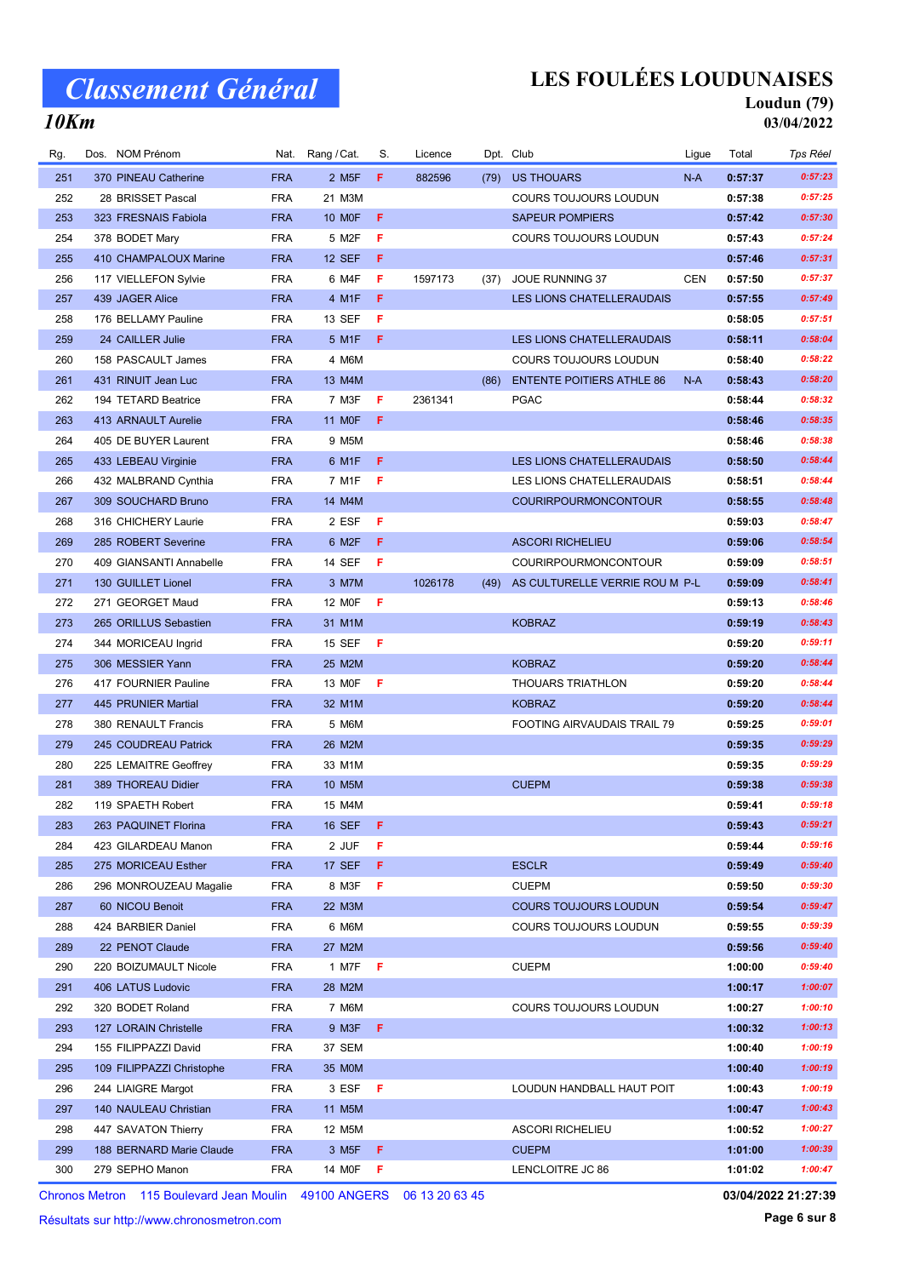## LES FOULÉES LOUDUNAISES

#### Loudun (79) 03/04/2022

#### 10Km

| Rg. | Dos. NOM Prénom           | Nat.       | Rang / Cat.        | S.  | Licence |      | Dpt. Club                        | Ligue      | Total   | <b>Tps Réel</b> |
|-----|---------------------------|------------|--------------------|-----|---------|------|----------------------------------|------------|---------|-----------------|
| 251 | 370 PINEAU Catherine      | <b>FRA</b> | 2 M <sub>5</sub> F | F.  | 882596  | (79) | <b>US THOUARS</b>                | N-A        | 0:57:37 | 0:57:23         |
| 252 | 28 BRISSET Pascal         | <b>FRA</b> | 21 M3M             |     |         |      | <b>COURS TOUJOURS LOUDUN</b>     |            | 0:57:38 | 0:57:25         |
| 253 | 323 FRESNAIS Fabiola      | <b>FRA</b> | <b>10 MOF</b>      | F   |         |      | <b>SAPEUR POMPIERS</b>           |            | 0:57:42 | 0:57:30         |
| 254 | 378 BODET Mary            | <b>FRA</b> | 5 M2F              | F   |         |      | <b>COURS TOUJOURS LOUDUN</b>     |            | 0:57:43 | 0:57:24         |
| 255 | 410 CHAMPALOUX Marine     | <b>FRA</b> | <b>12 SEF</b>      | F   |         |      |                                  |            | 0:57:46 | 0:57:31         |
| 256 | 117 VIELLEFON Sylvie      | <b>FRA</b> | 6 M4F              | F   | 1597173 | (37) | <b>JOUE RUNNING 37</b>           | <b>CEN</b> | 0:57:50 | 0:57:37         |
| 257 | 439 JAGER Alice           | <b>FRA</b> | 4 M1F              | F   |         |      | LES LIONS CHATELLERAUDAIS        |            | 0:57:55 | 0:57:49         |
| 258 | 176 BELLAMY Pauline       | <b>FRA</b> | 13 SEF             | F   |         |      |                                  |            | 0:58:05 | 0:57:51         |
| 259 | 24 CAILLER Julie          | <b>FRA</b> | 5 M1F              | F   |         |      | <b>LES LIONS CHATELLERAUDAIS</b> |            | 0:58:11 | 0:58:04         |
| 260 | 158 PASCAULT James        | <b>FRA</b> | 4 M6M              |     |         |      | COURS TOUJOURS LOUDUN            |            | 0:58:40 | 0:58:22         |
| 261 | 431 RINUIT Jean Luc       | <b>FRA</b> | 13 M4M             |     |         | (86) | <b>ENTENTE POITIERS ATHLE 86</b> | $N-A$      | 0:58:43 | 0:58:20         |
| 262 | 194 TETARD Beatrice       | <b>FRA</b> | 7 M3F              | F   | 2361341 |      | <b>PGAC</b>                      |            | 0:58:44 | 0:58:32         |
| 263 | 413 ARNAULT Aurelie       | <b>FRA</b> | 11 M0F             | F   |         |      |                                  |            | 0:58:46 | 0:58:35         |
| 264 | 405 DE BUYER Laurent      | <b>FRA</b> | 9 M5M              |     |         |      |                                  |            | 0:58:46 | 0:58:38         |
| 265 | 433 LEBEAU Virginie       | <b>FRA</b> | 6 M1F              | F   |         |      | LES LIONS CHATELLERAUDAIS        |            | 0:58:50 | 0:58:44         |
| 266 | 432 MALBRAND Cynthia      | <b>FRA</b> | 7 M1F              | F   |         |      | LES LIONS CHATELLERAUDAIS        |            | 0:58:51 | 0:58:44         |
| 267 | 309 SOUCHARD Bruno        | <b>FRA</b> | 14 M4M             |     |         |      | <b>COURIRPOURMONCONTOUR</b>      |            | 0:58:55 | 0:58:48         |
| 268 | 316 CHICHERY Laurie       | <b>FRA</b> | 2 ESF              | F   |         |      |                                  |            | 0:59:03 | 0:58:47         |
| 269 | 285 ROBERT Severine       | <b>FRA</b> | 6 M2F              | F.  |         |      | <b>ASCORI RICHELIEU</b>          |            | 0:59:06 | 0:58:54         |
| 270 | 409 GIANSANTI Annabelle   | <b>FRA</b> | 14 SEF             | -F  |         |      | COURIRPOURMONCONTOUR             |            | 0:59:09 | 0:58:51         |
| 271 | 130 GUILLET Lionel        | <b>FRA</b> | 3 M7M              |     | 1026178 | (49) | AS CULTURELLE VERRIE ROU M P-L   |            | 0:59:09 | 0:58:41         |
| 272 | 271 GEORGET Maud          | <b>FRA</b> | 12 M0F             | F   |         |      |                                  |            | 0:59:13 | 0:58:46         |
| 273 | 265 ORILLUS Sebastien     | <b>FRA</b> | 31 M1M             |     |         |      | <b>KOBRAZ</b>                    |            | 0:59:19 | 0:58:43         |
| 274 | 344 MORICEAU Ingrid       | <b>FRA</b> | <b>15 SEF</b>      | - F |         |      |                                  |            | 0:59:20 | 0:59:11         |
| 275 | 306 MESSIER Yann          | <b>FRA</b> | 25 M2M             |     |         |      | <b>KOBRAZ</b>                    |            | 0:59:20 | 0:58:44         |
| 276 | 417 FOURNIER Pauline      | <b>FRA</b> | 13 MOF             | F   |         |      | <b>THOUARS TRIATHLON</b>         |            | 0:59:20 | 0:58:44         |
| 277 | 445 PRUNIER Martial       | <b>FRA</b> | 32 M1M             |     |         |      | <b>KOBRAZ</b>                    |            | 0:59:20 | 0:58:44         |
| 278 | 380 RENAULT Francis       | <b>FRA</b> | 5 M6M              |     |         |      | FOOTING AIRVAUDAIS TRAIL 79      |            | 0:59:25 | 0:59:01         |
| 279 | 245 COUDREAU Patrick      | <b>FRA</b> | 26 M2M             |     |         |      |                                  |            | 0:59:35 | 0:59:29         |
| 280 | 225 LEMAITRE Geoffrey     | <b>FRA</b> | 33 M1M             |     |         |      |                                  |            | 0:59:35 | 0:59:29         |
| 281 | 389 THOREAU Didier        | <b>FRA</b> | 10 M5M             |     |         |      | <b>CUEPM</b>                     |            | 0:59:38 | 0:59:38         |
| 282 | 119 SPAETH Robert         | <b>FRA</b> | 15 M4M             |     |         |      |                                  |            | 0:59:41 | 0:59:18         |
| 283 | 263 PAQUINET Florina      | <b>FRA</b> | <b>16 SEF</b>      | -F  |         |      |                                  |            | 0:59:43 | 0:59:21         |
| 284 | 423 GILARDEAU Manon       | <b>FRA</b> | 2 JUF              | F   |         |      |                                  |            | 0:59:44 | 0:59:16         |
| 285 | 275 MORICEAU Esther       | <b>FRA</b> | <b>17 SEF</b>      | F   |         |      | <b>ESCLR</b>                     |            | 0:59:49 | 0:59:40         |
| 286 | 296 MONROUZEAU Magalie    | <b>FRA</b> | 8 M3F              | F   |         |      | <b>CUEPM</b>                     |            | 0:59:50 | 0:59:30         |
| 287 | 60 NICOU Benoit           | <b>FRA</b> | 22 M3M             |     |         |      | <b>COURS TOUJOURS LOUDUN</b>     |            | 0:59:54 | 0:59:47         |
| 288 | 424 BARBIER Daniel        | <b>FRA</b> | 6 M6M              |     |         |      | COURS TOUJOURS LOUDUN            |            | 0:59:55 | 0:59:39         |
| 289 | 22 PENOT Claude           | <b>FRA</b> | 27 M2M             |     |         |      |                                  |            | 0:59:56 | 0:59:40         |
| 290 | 220 BOIZUMAULT Nicole     | <b>FRA</b> | 1 M7F              | F   |         |      | <b>CUEPM</b>                     |            | 1:00:00 | 0:59:40         |
| 291 | 406 LATUS Ludovic         | <b>FRA</b> | 28 M2M             |     |         |      |                                  |            | 1:00:17 | 1:00:07         |
| 292 | 320 BODET Roland          | <b>FRA</b> | 7 M6M              |     |         |      | <b>COURS TOUJOURS LOUDUN</b>     |            | 1:00:27 | 1:00:10         |
| 293 | 127 LORAIN Christelle     | <b>FRA</b> | 9 M3F              | F   |         |      |                                  |            | 1:00:32 | 1:00:13         |
| 294 | 155 FILIPPAZZI David      | <b>FRA</b> | 37 SEM             |     |         |      |                                  |            | 1:00:40 | 1:00:19         |
| 295 | 109 FILIPPAZZI Christophe | <b>FRA</b> | 35 M0M             |     |         |      |                                  |            | 1:00:40 | 1:00:19         |
| 296 | 244 LIAIGRE Margot        | <b>FRA</b> | 3 ESF              | -F  |         |      | LOUDUN HANDBALL HAUT POIT        |            | 1:00:43 | 1:00:19         |
| 297 | 140 NAULEAU Christian     | <b>FRA</b> | 11 M5M             |     |         |      |                                  |            | 1:00:47 | 1:00:43         |
| 298 | 447 SAVATON Thierry       | <b>FRA</b> | 12 M5M             |     |         |      | <b>ASCORI RICHELIEU</b>          |            | 1:00:52 | 1:00:27         |
| 299 | 188 BERNARD Marie Claude  | <b>FRA</b> | 3 M <sub>5</sub> F | F   |         |      | <b>CUEPM</b>                     |            | 1:01:00 | 1:00:39         |
| 300 | 279 SEPHO Manon           | <b>FRA</b> | 14 MOF             | - F |         |      | LENCLOITRE JC 86                 |            | 1:01:02 | 1:00:47         |
|     |                           |            |                    |     |         |      |                                  |            |         |                 |

Chronos Metron 115 Boulevard Jean Moulin 49100 ANGERS 06 13 20 63 45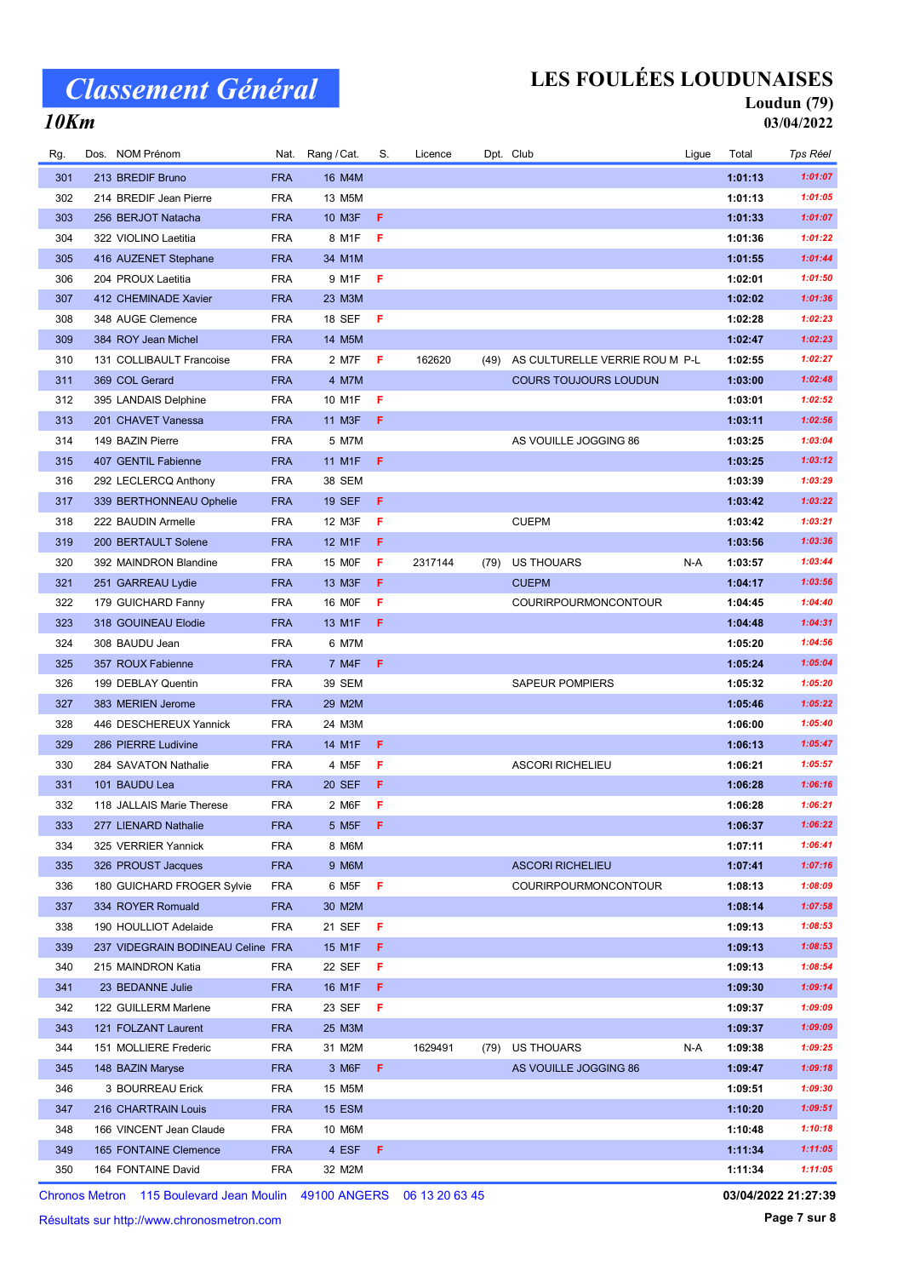## LES FOULÉES LOUDUNAISES

#### Loudun (79) 03/04/2022

### 10Km

| Rg. | Dos. NOM Prénom                              | Nat.                     | Rang / Cat.                 | S.  | Licence |      | Dpt. Club                      | Ligue | Total              | Tps Réel |
|-----|----------------------------------------------|--------------------------|-----------------------------|-----|---------|------|--------------------------------|-------|--------------------|----------|
| 301 | 213 BREDIF Bruno                             | <b>FRA</b>               | 16 M4M                      |     |         |      |                                |       | 1:01:13            | 1:01:07  |
| 302 | 214 BREDIF Jean Pierre                       | <b>FRA</b>               | 13 M5M                      |     |         |      |                                |       | 1:01:13            | 1:01:05  |
| 303 | 256 BERJOT Natacha                           | <b>FRA</b>               | 10 M3F                      | -F  |         |      |                                |       | 1:01:33            | 1:01:07  |
| 304 | 322 VIOLINO Laetitia                         | <b>FRA</b>               | 8 M1F                       | F   |         |      |                                |       | 1:01:36            | 1:01:22  |
| 305 | 416 AUZENET Stephane                         | <b>FRA</b>               | 34 M1M                      |     |         |      |                                |       | 1:01:55            | 1:01:44  |
| 306 | 204 PROUX Laetitia                           | <b>FRA</b>               | 9 M1F                       | - F |         |      |                                |       | 1:02:01            | 1:01:50  |
| 307 | 412 CHEMINADE Xavier                         | <b>FRA</b>               | 23 M3M                      |     |         |      |                                |       | 1:02:02            | 1:01:36  |
| 308 | 348 AUGE Clemence                            | <b>FRA</b>               | 18 SEF                      | F   |         |      |                                |       | 1:02:28            | 1:02:23  |
| 309 | 384 ROY Jean Michel                          | <b>FRA</b>               | 14 M5M                      |     |         |      |                                |       | 1:02:47            | 1:02:23  |
| 310 | 131 COLLIBAULT Francoise                     | <b>FRA</b>               | 2 M7F                       | - F | 162620  | (49) | AS CULTURELLE VERRIE ROU M P-L |       | 1:02:55            | 1:02:27  |
| 311 | 369 COL Gerard                               | <b>FRA</b>               | 4 M7M                       |     |         |      | <b>COURS TOUJOURS LOUDUN</b>   |       | 1:03:00            | 1:02:48  |
| 312 | 395 LANDAIS Delphine                         | <b>FRA</b>               | 10 M1F                      | F   |         |      |                                |       | 1:03:01            | 1:02:52  |
| 313 | 201 CHAVET Vanessa                           | <b>FRA</b>               | 11 M3F                      | F   |         |      |                                |       | 1:03:11            | 1:02:56  |
| 314 | 149 BAZIN Pierre                             | <b>FRA</b>               | 5 M7M                       |     |         |      | AS VOUILLE JOGGING 86          |       | 1:03:25            | 1:03:04  |
| 315 | 407 GENTIL Fabienne                          | <b>FRA</b>               | 11 M1F                      | -F  |         |      |                                |       | 1:03:25            | 1:03:12  |
| 316 | 292 LECLERCQ Anthony                         | <b>FRA</b>               | 38 SEM                      |     |         |      |                                |       | 1:03:39            | 1:03:29  |
| 317 | 339 BERTHONNEAU Ophelie                      | <b>FRA</b>               | <b>19 SEF</b>               | -F. |         |      |                                |       | 1:03:42            | 1:03:22  |
| 318 | 222 BAUDIN Armelle                           | <b>FRA</b>               | 12 M3F                      | F   |         |      | <b>CUEPM</b>                   |       | 1:03:42            | 1:03:21  |
| 319 | 200 BERTAULT Solene                          | <b>FRA</b>               | 12 M1F                      | -F. |         |      |                                |       | 1:03:56            | 1:03:36  |
| 320 | 392 MAINDRON Blandine                        | <b>FRA</b>               | 15 MOF                      | F   | 2317144 | (79) | US THOUARS                     | N-A   | 1:03:57            | 1:03:44  |
| 321 | 251 GARREAU Lydie                            | <b>FRA</b>               | 13 M3F                      | F.  |         |      | <b>CUEPM</b>                   |       | 1:04:17            | 1:03:56  |
| 322 | 179 GUICHARD Fanny                           | <b>FRA</b>               | 16 M0F                      | F   |         |      | <b>COURIRPOURMONCONTOUR</b>    |       | 1:04:45            | 1:04:40  |
| 323 | 318 GOUINEAU Elodie                          | <b>FRA</b>               | 13 M1F                      | F   |         |      |                                |       | 1:04:48            | 1:04:31  |
| 324 | 308 BAUDU Jean                               | <b>FRA</b>               | 6 M7M                       |     |         |      |                                |       | 1:05:20            | 1:04:56  |
| 325 | 357 ROUX Fabienne                            | <b>FRA</b>               | 7 M4F                       | F   |         |      |                                |       | 1:05:24            | 1:05:04  |
| 326 | 199 DEBLAY Quentin                           | <b>FRA</b>               | 39 SEM                      |     |         |      | <b>SAPEUR POMPIERS</b>         |       | 1:05:32            | 1:05:20  |
| 327 | 383 MERIEN Jerome                            | <b>FRA</b>               | 29 M2M                      |     |         |      |                                |       | 1:05:46            | 1:05:22  |
| 328 | 446 DESCHEREUX Yannick                       | <b>FRA</b>               | 24 M3M                      |     |         |      |                                |       | 1:06:00            | 1:05:40  |
| 329 | 286 PIERRE Ludivine                          | <b>FRA</b>               | 14 M1F                      | Æ   |         |      |                                |       | 1:06:13            | 1:05:47  |
| 330 | 284 SAVATON Nathalie                         | <b>FRA</b>               | 4 M <sub>5</sub> F          | F   |         |      | <b>ASCORI RICHELIEU</b>        |       | 1:06:21            | 1:05:57  |
| 331 | 101 BAUDU Lea                                | <b>FRA</b>               | <b>20 SEF</b>               | F   |         |      |                                |       | 1:06:28            | 1:06:16  |
| 332 | 118 JALLAIS Marie Therese                    | <b>FRA</b>               | 2 M6F                       | F   |         |      |                                |       | 1:06:28            | 1:06:21  |
| 333 | 277 LIENARD Nathalie                         | <b>FRA</b>               | 5 M <sub>5</sub> F <b>F</b> |     |         |      |                                |       | 1:06:37            | 1:06:22  |
| 334 | 325 VERRIER Yannick                          | <b>FRA</b>               | 8 M6M                       |     |         |      |                                |       | 1:07:11            | 1:06:41  |
| 335 | 326 PROUST Jacques                           | <b>FRA</b>               | 9 M6M                       |     |         |      | <b>ASCORI RICHELIEU</b>        |       | 1:07:41            | 1:07:16  |
| 336 | 180 GUICHARD FROGER Sylvie                   | <b>FRA</b>               | 6 M5F                       | -F  |         |      | <b>COURIRPOURMONCONTOUR</b>    |       | 1:08:13            | 1:08:09  |
| 337 | 334 ROYER Romuald                            | <b>FRA</b>               | 30 M2M                      |     |         |      |                                |       | 1:08:14            | 1:07:58  |
| 338 | 190 HOULLIOT Adelaide                        | <b>FRA</b>               | 21 SEF                      | F   |         |      |                                |       | 1:09:13            | 1:08:53  |
| 339 | 237 VIDEGRAIN BODINEAU Celine FRA            |                          | 15 M1F                      | F   |         |      |                                |       | 1:09:13            | 1:08:53  |
| 340 | 215 MAINDRON Katia                           | <b>FRA</b>               | 22 SEF                      | F   |         |      |                                |       | 1:09:13            | 1:08:54  |
| 341 | 23 BEDANNE Julie                             | <b>FRA</b>               | 16 M1F                      | -F  |         |      |                                |       | 1:09:30            | 1:09:14  |
| 342 | 122 GUILLERM Marlene                         | <b>FRA</b>               | 23 SEF                      | F   |         |      |                                |       | 1:09:37            | 1:09:09  |
| 343 |                                              |                          |                             |     |         |      |                                |       |                    | 1:09:09  |
| 344 | 121 FOLZANT Laurent<br>151 MOLLIERE Frederic | <b>FRA</b><br><b>FRA</b> | 25 M3M<br>31 M2M            |     | 1629491 |      | US THOUARS                     | N-A   | 1:09:37<br>1:09:38 | 1:09:25  |
| 345 | 148 BAZIN Maryse                             | <b>FRA</b>               | 3 M6F                       | F   |         | (79) | AS VOUILLE JOGGING 86          |       | 1:09:47            | 1:09:18  |
| 346 | 3 BOURREAU Erick                             | <b>FRA</b>               | 15 M5M                      |     |         |      |                                |       | 1:09:51            | 1:09:30  |
| 347 | 216 CHARTRAIN Louis                          | <b>FRA</b>               | 15 ESM                      |     |         |      |                                |       | 1:10:20            | 1:09:51  |
| 348 | 166 VINCENT Jean Claude                      | <b>FRA</b>               | 10 M6M                      |     |         |      |                                |       | 1:10:48            | 1:10:18  |
| 349 | 165 FONTAINE Clemence                        | <b>FRA</b>               | 4 ESF F                     |     |         |      |                                |       | 1:11:34            | 1:11:05  |
| 350 | 164 FONTAINE David                           | <b>FRA</b>               | 32 M2M                      |     |         |      |                                |       | 1:11:34            | 1:11:05  |
|     |                                              |                          |                             |     |         |      |                                |       |                    |          |

Chronos Metron 115 Boulevard Jean Moulin 49100 ANGERS 06 13 20 63 45